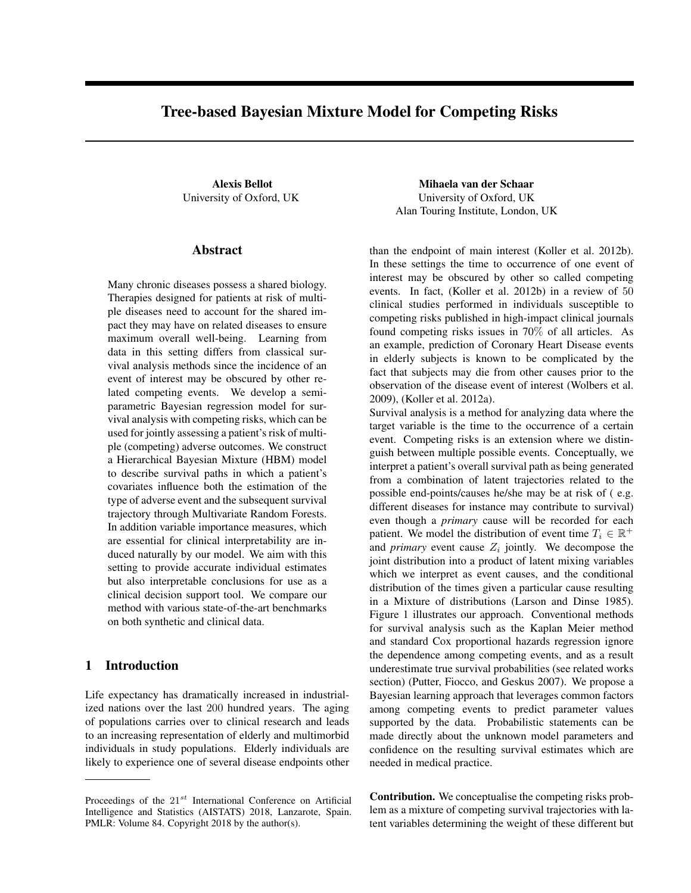# Tree-based Bayesian Mixture Model for Competing Risks

## Abstract

Many chronic diseases possess a shared biology. Therapies designed for patients at risk of multiple diseases need to account for the shared impact they may have on related diseases to ensure maximum overall well-being. Learning from data in this setting differs from classical survival analysis methods since the incidence of an event of interest may be obscured by other related competing events. We develop a semiparametric Bayesian regression model for survival analysis with competing risks, which can be used for jointly assessing a patient's risk of multiple (competing) adverse outcomes. We construct a Hierarchical Bayesian Mixture (HBM) model to describe survival paths in which a patient's covariates influence both the estimation of the type of adverse event and the subsequent survival trajectory through Multivariate Random Forests. In addition variable importance measures, which are essential for clinical interpretability are induced naturally by our model. We aim with this setting to provide accurate individual estimates but also interpretable conclusions for use as a clinical decision support tool. We compare our method with various state-of-the-art benchmarks on both synthetic and clinical data.

# 1 Introduction

Life expectancy has dramatically increased in industrialized nations over the last 200 hundred years. The aging of populations carries over to clinical research and leads to an increasing representation of elderly and multimorbid individuals in study populations. Elderly individuals are likely to experience one of several disease endpoints other

Alexis Bellot **Mihaela van der Schaar** University of Oxford, UK University of Oxford, UK Alan Touring Institute, London, UK

> than the endpoint of main interest (Koller et al. 2012b). In these settings the time to occurrence of one event of interest may be obscured by other so called competing events. In fact, (Koller et al. 2012b) in a review of 50 clinical studies performed in individuals susceptible to competing risks published in high-impact clinical journals found competing risks issues in 70% of all articles. As an example, prediction of Coronary Heart Disease events in elderly subjects is known to be complicated by the fact that subjects may die from other causes prior to the observation of the disease event of interest (Wolbers et al. 2009), (Koller et al. 2012a).

> Survival analysis is a method for analyzing data where the target variable is the time to the occurrence of a certain event. Competing risks is an extension where we distinguish between multiple possible events. Conceptually, we interpret a patient's overall survival path as being generated from a combination of latent trajectories related to the possible end-points/causes he/she may be at risk of ( e.g. different diseases for instance may contribute to survival) even though a *primary* cause will be recorded for each patient. We model the distribution of event time  $T_i \in \mathbb{R}^+$ and *primary* event cause  $Z_i$  jointly. We decompose the joint distribution into a product of latent mixing variables which we interpret as event causes, and the conditional distribution of the times given a particular cause resulting in a Mixture of distributions (Larson and Dinse 1985). Figure 1 illustrates our approach. Conventional methods for survival analysis such as the Kaplan Meier method and standard Cox proportional hazards regression ignore the dependence among competing events, and as a result underestimate true survival probabilities (see related works section) (Putter, Fiocco, and Geskus 2007). We propose a Bayesian learning approach that leverages common factors among competing events to predict parameter values supported by the data. Probabilistic statements can be made directly about the unknown model parameters and confidence on the resulting survival estimates which are needed in medical practice.

> Contribution. We conceptualise the competing risks problem as a mixture of competing survival trajectories with latent variables determining the weight of these different but

Proceedings of the  $21^{st}$  International Conference on Artificial Intelligence and Statistics (AISTATS) 2018, Lanzarote, Spain. PMLR: Volume 84. Copyright 2018 by the author(s).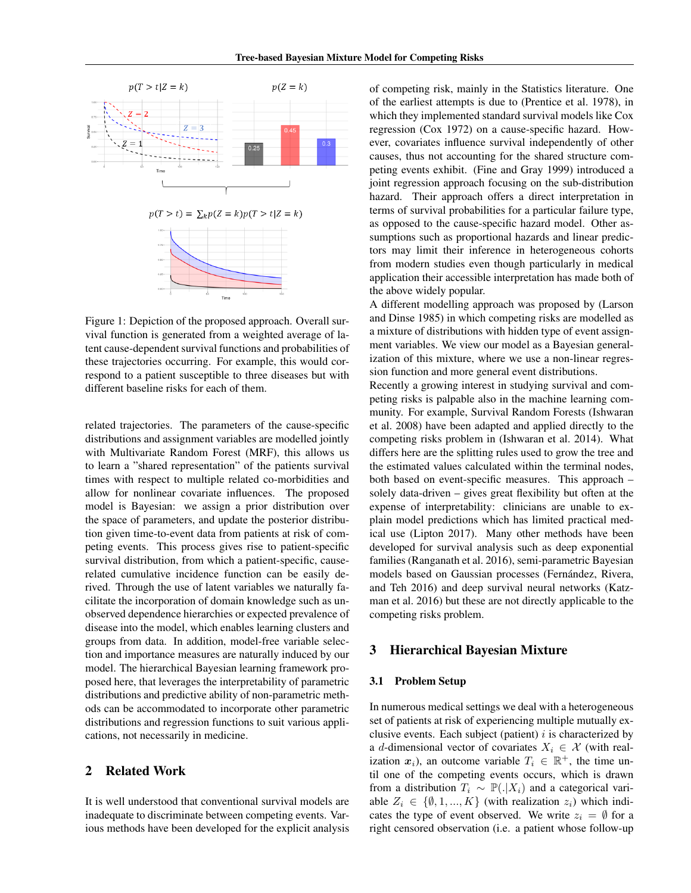

Figure 1: Depiction of the proposed approach. Overall survival function is generated from a weighted average of latent cause-dependent survival functions and probabilities of these trajectories occurring. For example, this would correspond to a patient susceptible to three diseases but with different baseline risks for each of them.

related trajectories. The parameters of the cause-specific distributions and assignment variables are modelled jointly with Multivariate Random Forest (MRF), this allows us to learn a "shared representation" of the patients survival times with respect to multiple related co-morbidities and allow for nonlinear covariate influences. The proposed model is Bayesian: we assign a prior distribution over the space of parameters, and update the posterior distribution given time-to-event data from patients at risk of competing events. This process gives rise to patient-specific survival distribution, from which a patient-specific, causerelated cumulative incidence function can be easily derived. Through the use of latent variables we naturally facilitate the incorporation of domain knowledge such as unobserved dependence hierarchies or expected prevalence of disease into the model, which enables learning clusters and groups from data. In addition, model-free variable selection and importance measures are naturally induced by our model. The hierarchical Bayesian learning framework proposed here, that leverages the interpretability of parametric distributions and predictive ability of non-parametric methods can be accommodated to incorporate other parametric distributions and regression functions to suit various applications, not necessarily in medicine.

# 2 Related Work

It is well understood that conventional survival models are inadequate to discriminate between competing events. Various methods have been developed for the explicit analysis

of competing risk, mainly in the Statistics literature. One of the earliest attempts is due to (Prentice et al. 1978), in which they implemented standard survival models like Cox regression (Cox 1972) on a cause-specific hazard. However, covariates influence survival independently of other causes, thus not accounting for the shared structure competing events exhibit. (Fine and Gray 1999) introduced a joint regression approach focusing on the sub-distribution hazard. Their approach offers a direct interpretation in terms of survival probabilities for a particular failure type, as opposed to the cause-specific hazard model. Other assumptions such as proportional hazards and linear predictors may limit their inference in heterogeneous cohorts from modern studies even though particularly in medical application their accessible interpretation has made both of the above widely popular.

A different modelling approach was proposed by (Larson and Dinse 1985) in which competing risks are modelled as a mixture of distributions with hidden type of event assignment variables. We view our model as a Bayesian generalization of this mixture, where we use a non-linear regression function and more general event distributions.

Recently a growing interest in studying survival and competing risks is palpable also in the machine learning community. For example, Survival Random Forests (Ishwaran et al. 2008) have been adapted and applied directly to the competing risks problem in (Ishwaran et al. 2014). What differs here are the splitting rules used to grow the tree and the estimated values calculated within the terminal nodes, both based on event-specific measures. This approach – solely data-driven – gives great flexibility but often at the expense of interpretability: clinicians are unable to explain model predictions which has limited practical medical use (Lipton 2017). Many other methods have been developed for survival analysis such as deep exponential families (Ranganath et al. 2016), semi-parametric Bayesian models based on Gaussian processes (Fernández, Rivera, and Teh 2016) and deep survival neural networks (Katzman et al. 2016) but these are not directly applicable to the competing risks problem.

# 3 Hierarchical Bayesian Mixture

#### 3.1 Problem Setup

In numerous medical settings we deal with a heterogeneous set of patients at risk of experiencing multiple mutually exclusive events. Each subject (patient)  $i$  is characterized by a d-dimensional vector of covariates  $X_i \in \mathcal{X}$  (with realization  $x_i$ ), an outcome variable  $T_i \in \mathbb{R}^+$ , the time until one of the competing events occurs, which is drawn from a distribution  $T_i \sim \mathbb{P}(.|X_i)$  and a categorical variable  $Z_i \in \{\emptyset, 1, ..., K\}$  (with realization  $z_i$ ) which indicates the type of event observed. We write  $z_i = \emptyset$  for a right censored observation (i.e. a patient whose follow-up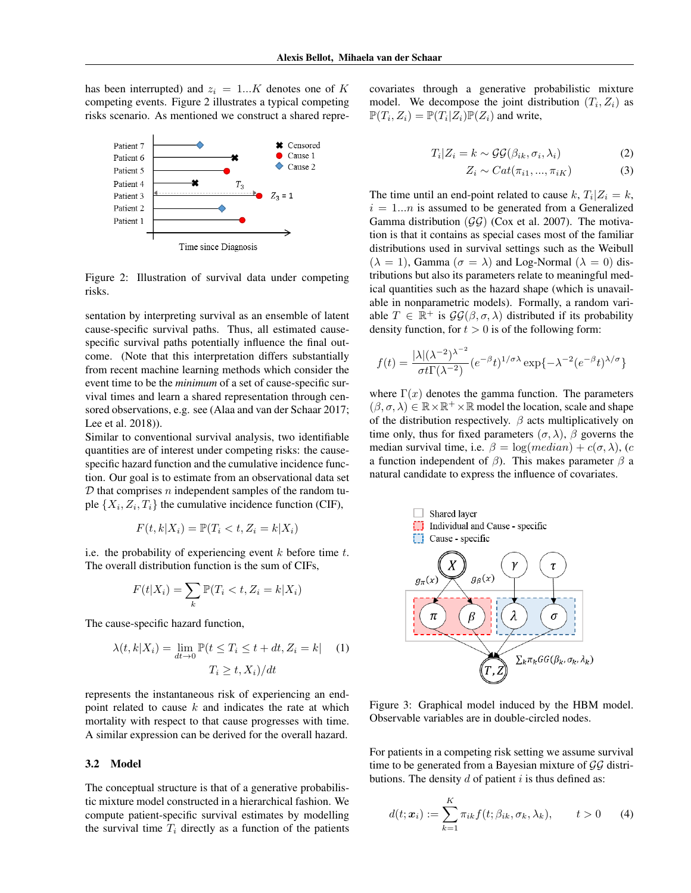has been interrupted) and  $z_i = 1...K$  denotes one of K competing events. Figure 2 illustrates a typical competing risks scenario. As mentioned we construct a shared repre-



Figure 2: Illustration of survival data under competing risks.

sentation by interpreting survival as an ensemble of latent cause-specific survival paths. Thus, all estimated causespecific survival paths potentially influence the final outcome. (Note that this interpretation differs substantially from recent machine learning methods which consider the event time to be the *minimum* of a set of cause-specific survival times and learn a shared representation through censored observations, e.g. see (Alaa and van der Schaar 2017; Lee et al. 2018)).

Similar to conventional survival analysis, two identifiable quantities are of interest under competing risks: the causespecific hazard function and the cumulative incidence function. Our goal is to estimate from an observational data set  $D$  that comprises n independent samples of the random tuple  $\{X_i, Z_i, T_i\}$  the cumulative incidence function (CIF),

$$
F(t, k | X_i) = \mathbb{P}(T_i < t, Z_i = k | X_i)
$$

i.e. the probability of experiencing event  $k$  before time  $t$ . The overall distribution function is the sum of CIFs,

$$
F(t|X_i) = \sum_k \mathbb{P}(T_i < t, Z_i = k|X_i)
$$

The cause-specific hazard function,

$$
\lambda(t, k | X_i) = \lim_{dt \to 0} \mathbb{P}(t \le T_i \le t + dt, Z_i = k | (1)
$$

$$
T_i \ge t, X_i)/dt
$$

represents the instantaneous risk of experiencing an endpoint related to cause  $k$  and indicates the rate at which mortality with respect to that cause progresses with time. A similar expression can be derived for the overall hazard.

### 3.2 Model

The conceptual structure is that of a generative probabilistic mixture model constructed in a hierarchical fashion. We compute patient-specific survival estimates by modelling the survival time  $T_i$  directly as a function of the patients covariates through a generative probabilistic mixture model. We decompose the joint distribution  $(T_i, Z_i)$  as  $\mathbb{P}(T_i, Z_i) = \mathbb{P}(T_i | Z_i) \mathbb{P}(Z_i)$  and write,

$$
T_i|Z_i = k \sim \mathcal{GG}(\beta_{ik}, \sigma_i, \lambda_i)
$$
 (2)

$$
Z_i \sim Cat(\pi_{i1}, ..., \pi_{iK})
$$
 (3)

The time until an end-point related to cause  $k, T_i | Z_i = k$ ,  $i = 1...n$  is assumed to be generated from a Generalized Gamma distribution  $(\mathcal{G}\mathcal{G})$  (Cox et al. 2007). The motivation is that it contains as special cases most of the familiar distributions used in survival settings such as the Weibull  $(\lambda = 1)$ , Gamma  $(\sigma = \lambda)$  and Log-Normal  $(\lambda = 0)$  distributions but also its parameters relate to meaningful medical quantities such as the hazard shape (which is unavailable in nonparametric models). Formally, a random variable  $T \in \mathbb{R}^+$  is  $\mathcal{GG}(\beta, \sigma, \lambda)$  distributed if its probability density function, for  $t > 0$  is of the following form:

$$
f(t) = \frac{|\lambda|(\lambda^{-2})^{\lambda^{-2}}}{\sigma t \Gamma(\lambda^{-2})} (e^{-\beta} t)^{1/\sigma \lambda} \exp\{-\lambda^{-2} (e^{-\beta} t)^{\lambda/\sigma}\}
$$

where  $\Gamma(x)$  denotes the gamma function. The parameters  $(\beta, \sigma, \lambda) \in \mathbb{R} \times \mathbb{R}^+ \times \mathbb{R}$  model the location, scale and shape of the distribution respectively.  $\beta$  acts multiplicatively on time only, thus for fixed parameters  $(\sigma, \lambda)$ ,  $\beta$  governs the median survival time, i.e.  $\beta = \log(median) + c(\sigma, \lambda)$ , (c a function independent of  $\beta$ ). This makes parameter  $\beta$  a natural candidate to express the influence of covariates.



Figure 3: Graphical model induced by the HBM model. Observable variables are in double-circled nodes.

For patients in a competing risk setting we assume survival time to be generated from a Bayesian mixture of  $\mathcal{G}\mathcal{G}$  distributions. The density  $d$  of patient  $i$  is thus defined as:

$$
d(t; \boldsymbol{x}_i) := \sum_{k=1}^K \pi_{ik} f(t; \beta_{ik}, \sigma_k, \lambda_k), \qquad t > 0 \qquad (4)
$$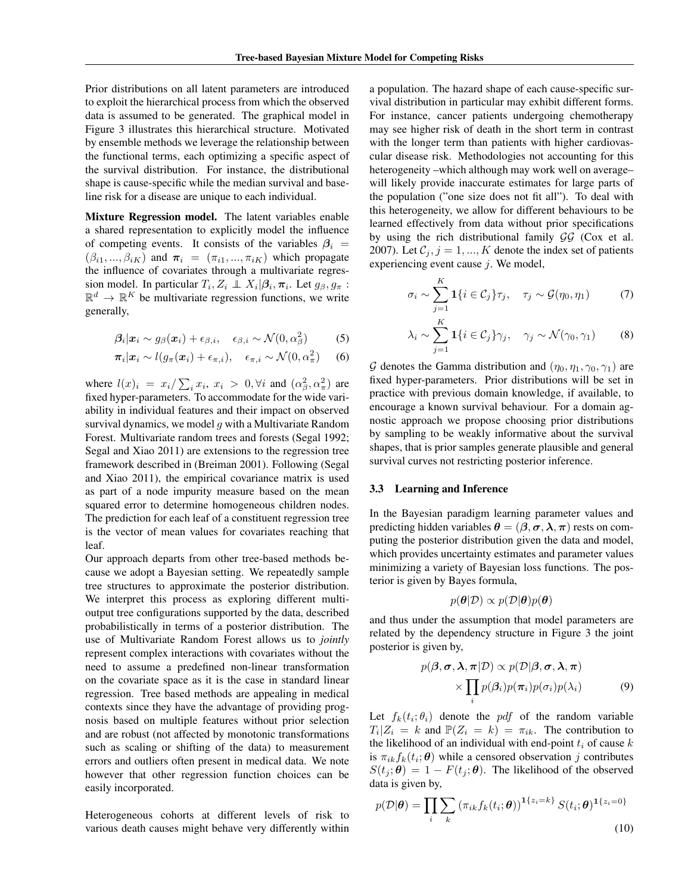Prior distributions on all latent parameters are introduced to exploit the hierarchical process from which the observed data is assumed to be generated. The graphical model in Figure 3 illustrates this hierarchical structure. Motivated by ensemble methods we leverage the relationship between the functional terms, each optimizing a specific aspect of the survival distribution. For instance, the distributional shape is cause-specific while the median survival and baseline risk for a disease are unique to each individual.

Mixture Regression model. The latent variables enable a shared representation to explicitly model the influence of competing events. It consists of the variables  $\beta_i$  =  $(\beta_{i1}, ..., \beta_{iK})$  and  $\pi_i = (\pi_{i1}, ..., \pi_{iK})$  which propagate the influence of covariates through a multivariate regression model. In particular  $T_i$ ,  $Z_i \perp X_i | \beta_i$ ,  $\pi_i$ . Let  $g_\beta$ ,  $g_\pi$ :  $\mathbb{R}^d \to \mathbb{R}^K$  be multivariate regression functions, we write generally,

$$
\beta_i | x_i \sim g_\beta(x_i) + \epsilon_{\beta,i}, \quad \epsilon_{\beta,i} \sim \mathcal{N}(0, \alpha_\beta^2) \tag{5}
$$

$$
\pi_i | x_i \sim l(g_\pi(x_i) + \epsilon_{\pi,i}), \quad \epsilon_{\pi,i} \sim \mathcal{N}(0, \alpha_\pi^2) \quad (6)
$$

where  $l(x)_i = x_i / \sum_i x_i, x_i > 0, \forall i$  and  $(\alpha_\beta^2, \alpha_\pi^2)$  are fixed hyper-parameters. To accommodate for the wide variability in individual features and their impact on observed survival dynamics, we model  $q$  with a Multivariate Random Forest. Multivariate random trees and forests (Segal 1992; Segal and Xiao 2011) are extensions to the regression tree framework described in (Breiman 2001). Following (Segal and Xiao 2011), the empirical covariance matrix is used as part of a node impurity measure based on the mean squared error to determine homogeneous children nodes. The prediction for each leaf of a constituent regression tree is the vector of mean values for covariates reaching that leaf.

Our approach departs from other tree-based methods because we adopt a Bayesian setting. We repeatedly sample tree structures to approximate the posterior distribution. We interpret this process as exploring different multioutput tree configurations supported by the data, described probabilistically in terms of a posterior distribution. The use of Multivariate Random Forest allows us to *jointly* represent complex interactions with covariates without the need to assume a predefined non-linear transformation on the covariate space as it is the case in standard linear regression. Tree based methods are appealing in medical contexts since they have the advantage of providing prognosis based on multiple features without prior selection and are robust (not affected by monotonic transformations such as scaling or shifting of the data) to measurement errors and outliers often present in medical data. We note however that other regression function choices can be easily incorporated.

Heterogeneous cohorts at different levels of risk to various death causes might behave very differently within a population. The hazard shape of each cause-specific survival distribution in particular may exhibit different forms. For instance, cancer patients undergoing chemotherapy may see higher risk of death in the short term in contrast with the longer term than patients with higher cardiovascular disease risk. Methodologies not accounting for this heterogeneity –which although may work well on average– will likely provide inaccurate estimates for large parts of the population ("one size does not fit all"). To deal with this heterogeneity, we allow for different behaviours to be learned effectively from data without prior specifications by using the rich distributional family  $\mathcal{G}\mathcal{G}$  (Cox et al. 2007). Let  $C_j$ ,  $j = 1, ..., K$  denote the index set of patients experiencing event cause  $j$ . We model,

$$
\sigma_i \sim \sum_{j=1}^K \mathbf{1}\{i \in \mathcal{C}_j\} \tau_j, \quad \tau_j \sim \mathcal{G}(\eta_0, \eta_1) \tag{7}
$$

$$
\lambda_i \sim \sum_{j=1}^K \mathbf{1}\{i \in \mathcal{C}_j\} \gamma_j, \quad \gamma_j \sim \mathcal{N}(\gamma_0, \gamma_1) \tag{8}
$$

G denotes the Gamma distribution and  $(\eta_0, \eta_1, \gamma_0, \gamma_1)$  are fixed hyper-parameters. Prior distributions will be set in practice with previous domain knowledge, if available, to encourage a known survival behaviour. For a domain agnostic approach we propose choosing prior distributions by sampling to be weakly informative about the survival shapes, that is prior samples generate plausible and general survival curves not restricting posterior inference.

#### 3.3 Learning and Inference

In the Bayesian paradigm learning parameter values and predicting hidden variables  $\theta = (\beta, \sigma, \lambda, \pi)$  rests on computing the posterior distribution given the data and model, which provides uncertainty estimates and parameter values minimizing a variety of Bayesian loss functions. The posterior is given by Bayes formula,

$$
p(\boldsymbol{\theta}|\mathcal{D}) \propto p(\mathcal{D}|\boldsymbol{\theta})p(\boldsymbol{\theta})
$$

and thus under the assumption that model parameters are related by the dependency structure in Figure 3 the joint posterior is given by,

$$
p(\boldsymbol{\beta}, \boldsymbol{\sigma}, \boldsymbol{\lambda}, \boldsymbol{\pi} | \mathcal{D}) \propto p(\mathcal{D} | \boldsymbol{\beta}, \boldsymbol{\sigma}, \boldsymbol{\lambda}, \boldsymbol{\pi}) \times \prod_{i} p(\boldsymbol{\beta}_{i}) p(\boldsymbol{\pi}_{i}) p(\sigma_{i}) p(\lambda_{i}) \qquad (9)
$$

Let  $f_k(t_i; \theta_i)$  denote the *pdf* of the random variable  $T_i | Z_i = k$  and  $\mathbb{P}(Z_i = k) = \pi_{ik}$ . The contribution to the likelihood of an individual with end-point  $t_i$  of cause  $k$ is  $\pi_{ik} f_k(t_i; \theta)$  while a censored observation j contributes  $S(t_i; \theta) = 1 - F(t_i; \theta)$ . The likelihood of the observed data is given by,

$$
p(\mathcal{D}|\boldsymbol{\theta}) = \prod_{i} \sum_{k} \left(\pi_{ik} f_k(t_i; \boldsymbol{\theta})\right)^{1\{z_i = k\}} S(t_i; \boldsymbol{\theta})^{1\{z_i = 0\}}
$$
\n(10)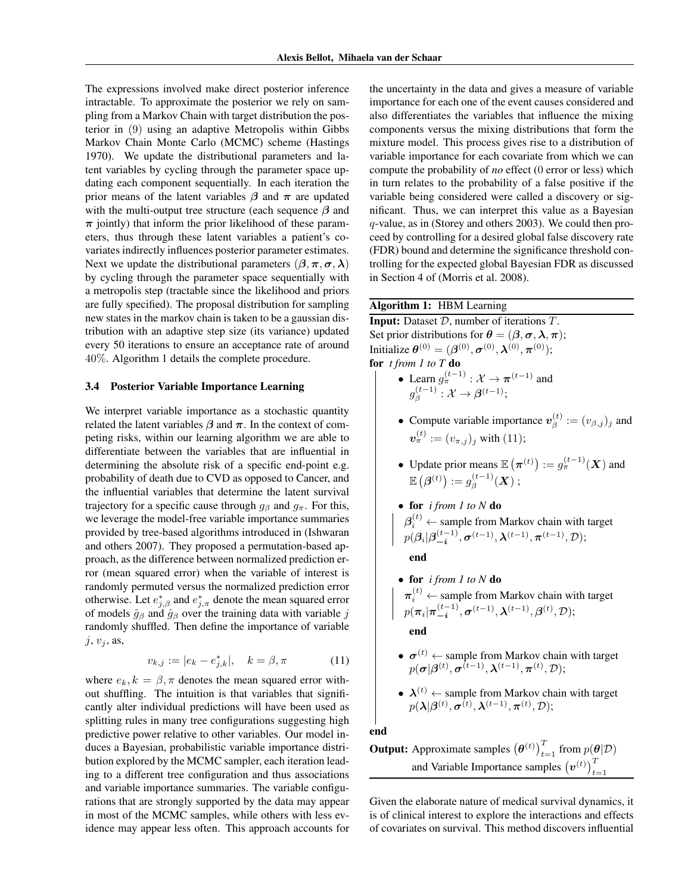The expressions involved make direct posterior inference intractable. To approximate the posterior we rely on sampling from a Markov Chain with target distribution the posterior in (9) using an adaptive Metropolis within Gibbs Markov Chain Monte Carlo (MCMC) scheme (Hastings 1970). We update the distributional parameters and latent variables by cycling through the parameter space updating each component sequentially. In each iteration the prior means of the latent variables  $\beta$  and  $\pi$  are updated with the multi-output tree structure (each sequence  $\beta$  and  $\pi$  jointly) that inform the prior likelihood of these parameters, thus through these latent variables a patient's covariates indirectly influences posterior parameter estimates. Next we update the distributional parameters  $(\beta, \pi, \sigma, \lambda)$ by cycling through the parameter space sequentially with a metropolis step (tractable since the likelihood and priors are fully specified). The proposal distribution for sampling new states in the markov chain is taken to be a gaussian distribution with an adaptive step size (its variance) updated every 50 iterations to ensure an acceptance rate of around 40%. Algorithm 1 details the complete procedure.

#### 3.4 Posterior Variable Importance Learning

We interpret variable importance as a stochastic quantity related the latent variables  $\beta$  and  $\pi$ . In the context of competing risks, within our learning algorithm we are able to differentiate between the variables that are influential in determining the absolute risk of a specific end-point e.g. probability of death due to CVD as opposed to Cancer, and the influential variables that determine the latent survival trajectory for a specific cause through  $q_\beta$  and  $q_\pi$ . For this, we leverage the model-free variable importance summaries provided by tree-based algorithms introduced in (Ishwaran and others 2007). They proposed a permutation-based approach, as the difference between normalized prediction error (mean squared error) when the variable of interest is randomly permuted versus the normalized prediction error otherwise. Let  $e_{j,\beta}^*$  and  $e_{j,\pi}^*$  denote the mean squared error of models  $\hat{g}_{\beta}$  and  $\hat{g}_{\beta}$  over the training data with variable j randomly shuffled. Then define the importance of variable  $j, v_j$ , as,

$$
v_{k,j} := |e_k - e_{j,k}^*|, \quad k = \beta, \pi \tag{11}
$$

where  $e_k, k = \beta, \pi$  denotes the mean squared error without shuffling. The intuition is that variables that significantly alter individual predictions will have been used as splitting rules in many tree configurations suggesting high predictive power relative to other variables. Our model induces a Bayesian, probabilistic variable importance distribution explored by the MCMC sampler, each iteration leading to a different tree configuration and thus associations and variable importance summaries. The variable configurations that are strongly supported by the data may appear in most of the MCMC samples, while others with less evidence may appear less often. This approach accounts for the uncertainty in the data and gives a measure of variable importance for each one of the event causes considered and also differentiates the variables that influence the mixing components versus the mixing distributions that form the mixture model. This process gives rise to a distribution of variable importance for each covariate from which we can compute the probability of *no* effect (0 error or less) which in turn relates to the probability of a false positive if the variable being considered were called a discovery or significant. Thus, we can interpret this value as a Bayesian q-value, as in (Storey and others 2003). We could then proceed by controlling for a desired global false discovery rate (FDR) bound and determine the significance threshold controlling for the expected global Bayesian FDR as discussed in Section 4 of (Morris et al. 2008).

## Algorithm 1: HBM Learning

**Input:** Dataset  $D$ , number of iterations  $T$ . Set prior distributions for  $\theta = (\beta, \sigma, \lambda, \pi);$ Initialize  $\theta^{(0)} = (\beta^{(0)}, \sigma^{(0)}, \lambda^{(0)}, \pi^{(0)})$ ; for *t from 1 to T* do

- Learn  $g_{\pi}^{(t-1)} : \mathcal{X} \to \pi^{(t-1)}$  and  $g_{\beta}^{(t-1)}$  $\begin{aligned} \beta^{(t-1)}:\mathcal{X} &\rightarrow \boldsymbol{\beta}^{(t-1)}; \end{aligned}$
- Compute variable importance  $v_{\beta}^{(t)}$  $\beta^{(t)} := (v_{\beta,j})_j$  and  $\bm{v}_{\pi}^{(t)}:=(v_{\pi,j})_j$  with (11);
- Update prior means  $\mathbb{E}(\pi^{(t)}) := g_{\pi}^{(t-1)}(X)$  and  $\mathbb{E}\left(\boldsymbol{\beta}^{(t)}\right):=g_{\beta}^{(t-1)}$  $\stackrel{(t-1)}{\beta} (X)$  ;
- for *i from 1 to N* do  $\beta_i^{(t)} \leftarrow$  sample from Markov chain with target  $p(\bm{\beta}_i|\bm{\beta}_{-\bm{i}}^{(t-1)})$  $\boldsymbol{\sigma}^{(t-1)}, \boldsymbol{\sigma}^{(t-1)}, \boldsymbol{\lambda}^{(t-1)}, \boldsymbol{\pi}^{(t-1)}, \mathcal{D});$

end

• for *i from 1 to N* do  $\boldsymbol{\pi}_i^{(t)} \leftarrow$  sample from Markov chain with target  $p(\bm{\pi}_i | \bm{\pi}_{-\bm{i}}^{(t-1)})$  $\mathbf{C}^{(t-1)}_i, \boldsymbol{\sigma}^{(t-1)}, \boldsymbol{\lambda}^{(t-1)}, \boldsymbol{\beta}^{(t)}, \mathcal{D});$ 

end

- $\sigma^{(t)} \leftarrow$  sample from Markov chain with target  $p(\boldsymbol{\sigma} | \boldsymbol{\beta}^{(t)}, \boldsymbol{\sigma}^{(t-1)}, \boldsymbol{\lambda}^{(t-1)}, \boldsymbol{\pi}^{(t)}, \mathcal{D});$
- $\lambda^{(t)} \leftarrow$  sample from Markov chain with target  $p(\boldsymbol\lambda|\boldsymbol{\beta}^{(t)},\boldsymbol{\sigma}^{(t)},\boldsymbol\lambda^{(t-1)},\boldsymbol{\pi}^{(t)},\mathcal{D});$

end

**Output:** Approximate samples  $(\boldsymbol{\theta}^{(t)})_{t=1}^T$  from  $p(\boldsymbol{\theta}|\mathcal{D})$ and Variable Importance samples  $(v^{(t)})_{t=1}^T$ 

Given the elaborate nature of medical survival dynamics, it is of clinical interest to explore the interactions and effects of covariates on survival. This method discovers influential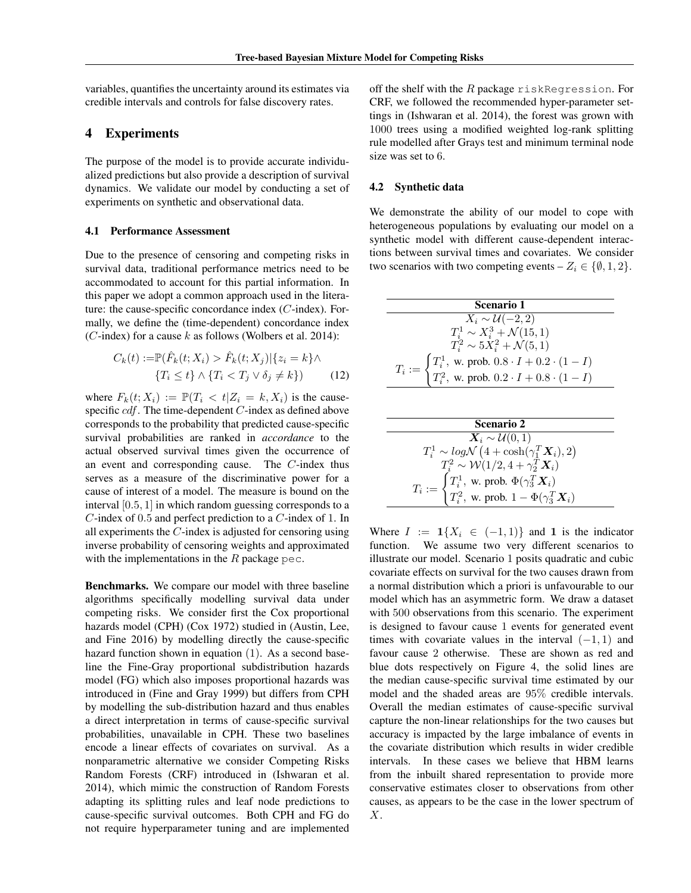variables, quantifies the uncertainty around its estimates via credible intervals and controls for false discovery rates.

# 4 Experiments

The purpose of the model is to provide accurate individualized predictions but also provide a description of survival dynamics. We validate our model by conducting a set of experiments on synthetic and observational data.

#### 4.1 Performance Assessment

Due to the presence of censoring and competing risks in survival data, traditional performance metrics need to be accommodated to account for this partial information. In this paper we adopt a common approach used in the literature: the cause-specific concordance index (C-index). Formally, we define the (time-dependent) concordance index (C-index) for a cause k as follows (Wolbers et al. 2014):

$$
C_k(t) := \mathbb{P}(\hat{F}_k(t; X_i) > \hat{F}_k(t; X_j) | \{z_i = k\} \land \{T_i \le t\} \land \{T_i < T_j \lor \delta_j \ne k\}) \tag{12}
$$

where  $F_k(t; X_i) := \mathbb{P}(T_i < t | Z_i = k, X_i)$  is the causespecific *cdf*. The time-dependent *C*-index as defined above corresponds to the probability that predicted cause-specific survival probabilities are ranked in *accordance* to the actual observed survival times given the occurrence of an event and corresponding cause. The C-index thus serves as a measure of the discriminative power for a cause of interest of a model. The measure is bound on the interval [0.5, 1] in which random guessing corresponds to a C-index of 0.5 and perfect prediction to a C-index of 1. In all experiments the C-index is adjusted for censoring using inverse probability of censoring weights and approximated with the implementations in the  $R$  package pec.

Benchmarks. We compare our model with three baseline algorithms specifically modelling survival data under competing risks. We consider first the Cox proportional hazards model (CPH) (Cox 1972) studied in (Austin, Lee, and Fine 2016) by modelling directly the cause-specific hazard function shown in equation (1). As a second baseline the Fine-Gray proportional subdistribution hazards model (FG) which also imposes proportional hazards was introduced in (Fine and Gray 1999) but differs from CPH by modelling the sub-distribution hazard and thus enables a direct interpretation in terms of cause-specific survival probabilities, unavailable in CPH. These two baselines encode a linear effects of covariates on survival. As a nonparametric alternative we consider Competing Risks Random Forests (CRF) introduced in (Ishwaran et al. 2014), which mimic the construction of Random Forests adapting its splitting rules and leaf node predictions to cause-specific survival outcomes. Both CPH and FG do not require hyperparameter tuning and are implemented

off the shelf with the  $R$  package riskRegression. For CRF, we followed the recommended hyper-parameter settings in (Ishwaran et al. 2014), the forest was grown with 1000 trees using a modified weighted log-rank splitting rule modelled after Grays test and minimum terminal node size was set to 6.

### 4.2 Synthetic data

We demonstrate the ability of our model to cope with heterogeneous populations by evaluating our model on a synthetic model with different cause-dependent interactions between survival times and covariates. We consider two scenarios with two competing events –  $Z_i \in \{\emptyset, 1, 2\}.$ 

| Scenario 1                                                                                                                                              |  |  |  |
|---------------------------------------------------------------------------------------------------------------------------------------------------------|--|--|--|
| $X_i \sim \mathcal{U}(-2, 2)$                                                                                                                           |  |  |  |
| $T_i^1 \sim X_i^3 + \mathcal{N}(15,1)$                                                                                                                  |  |  |  |
| $T_i^2 \sim 5X_i^2 + \mathcal{N}(5,1)$                                                                                                                  |  |  |  |
| $T_i := \begin{cases} T_i^1, \text{ w. prob. } 0.8 \cdot I + 0.2 \cdot (1 - I) \\ T_i^2, \text{ w. prob. } 0.2 \cdot I + 0.8 \cdot (1 - I) \end{cases}$ |  |  |  |
|                                                                                                                                                         |  |  |  |

| <b>Scenario 2</b>                                                                                                                             |  |  |  |
|-----------------------------------------------------------------------------------------------------------------------------------------------|--|--|--|
| $\mathbf{X}_i \sim \mathcal{U}(0,1)$                                                                                                          |  |  |  |
| $T_i^1 \sim log\mathcal{N}\left(4 + \cosh(\gamma_1^T \mathbf{X}_i), 2\right)$                                                                 |  |  |  |
| $T_i^2 \sim \mathcal{W}(1/2, 4 + \gamma_2^T \mathbf{X}_i)$                                                                                    |  |  |  |
| $T_i := \begin{cases} T_i^1, \text{ w. prob. } \Phi(\gamma_3^T\bm{X}_i) \\ T_i^2, \text{ w. prob. } 1 - \Phi(\gamma_3^T\bm{X}_i) \end{cases}$ |  |  |  |
|                                                                                                                                               |  |  |  |

Where  $I := \mathbf{1}{X_i \in (-1,1)}$  and **1** is the indicator function. We assume two very different scenarios to illustrate our model. Scenario 1 posits quadratic and cubic covariate effects on survival for the two causes drawn from a normal distribution which a priori is unfavourable to our model which has an asymmetric form. We draw a dataset with 500 observations from this scenario. The experiment is designed to favour cause 1 events for generated event times with covariate values in the interval  $(-1, 1)$  and favour cause 2 otherwise. These are shown as red and blue dots respectively on Figure 4, the solid lines are the median cause-specific survival time estimated by our model and the shaded areas are 95% credible intervals. Overall the median estimates of cause-specific survival capture the non-linear relationships for the two causes but accuracy is impacted by the large imbalance of events in the covariate distribution which results in wider credible intervals. In these cases we believe that HBM learns from the inbuilt shared representation to provide more conservative estimates closer to observations from other causes, as appears to be the case in the lower spectrum of X.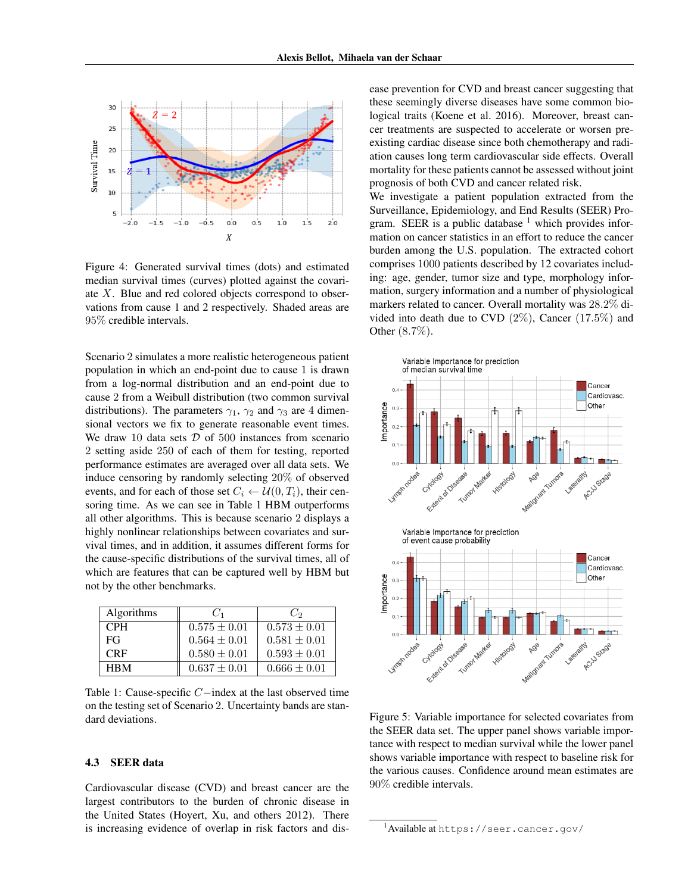

Figure 4: Generated survival times (dots) and estimated median survival times (curves) plotted against the covariate X. Blue and red colored objects correspond to observations from cause 1 and 2 respectively. Shaded areas are 95% credible intervals.

Scenario 2 simulates a more realistic heterogeneous patient population in which an end-point due to cause 1 is drawn from a log-normal distribution and an end-point due to cause 2 from a Weibull distribution (two common survival distributions). The parameters  $\gamma_1$ ,  $\gamma_2$  and  $\gamma_3$  are 4 dimensional vectors we fix to generate reasonable event times. We draw 10 data sets  $D$  of 500 instances from scenario 2 setting aside 250 of each of them for testing, reported performance estimates are averaged over all data sets. We induce censoring by randomly selecting 20% of observed events, and for each of those set  $C_i \leftarrow \mathcal{U}(0, T_i)$ , their censoring time. As we can see in Table 1 HBM outperforms all other algorithms. This is because scenario 2 displays a highly nonlinear relationships between covariates and survival times, and in addition, it assumes different forms for the cause-specific distributions of the survival times, all of which are features that can be captured well by HBM but not by the other benchmarks.

| Algorithms | $C_1$            | Uэ               |
|------------|------------------|------------------|
| <b>CPH</b> | $0.575 \pm 0.01$ | $0.573 \pm 0.01$ |
| FG         | $0.564 \pm 0.01$ | $0.581 \pm 0.01$ |
| <b>CRF</b> | $0.580 \pm 0.01$ | $0.593 \pm 0.01$ |
| <b>HRM</b> | $0.637 \pm 0.01$ | $0.666 \pm 0.01$ |

Table 1: Cause-specific C−index at the last observed time on the testing set of Scenario 2. Uncertainty bands are standard deviations.

## 4.3 SEER data

Cardiovascular disease (CVD) and breast cancer are the largest contributors to the burden of chronic disease in the United States (Hoyert, Xu, and others 2012). There is increasing evidence of overlap in risk factors and dis-

ease prevention for CVD and breast cancer suggesting that these seemingly diverse diseases have some common biological traits (Koene et al. 2016). Moreover, breast cancer treatments are suspected to accelerate or worsen preexisting cardiac disease since both chemotherapy and radiation causes long term cardiovascular side effects. Overall mortality for these patients cannot be assessed without joint prognosis of both CVD and cancer related risk.

We investigate a patient population extracted from the Surveillance, Epidemiology, and End Results (SEER) Program. SEER is a public database  $<sup>1</sup>$  which provides infor-</sup> mation on cancer statistics in an effort to reduce the cancer burden among the U.S. population. The extracted cohort comprises 1000 patients described by 12 covariates including: age, gender, tumor size and type, morphology information, surgery information and a number of physiological markers related to cancer. Overall mortality was 28.2% divided into death due to CVD (2%), Cancer (17.5%) and Other (8.7%).



Figure 5: Variable importance for selected covariates from the SEER data set. The upper panel shows variable importance with respect to median survival while the lower panel shows variable importance with respect to baseline risk for the various causes. Confidence around mean estimates are 90% credible intervals.

 $^{\rm l}$ Available at <code>https://seer.cancer.gov/</code>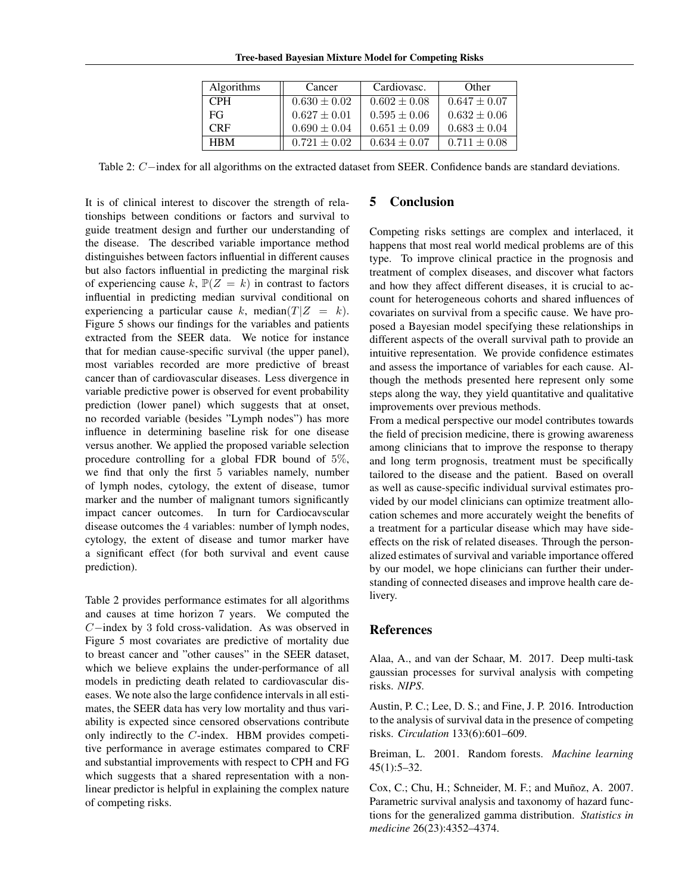| <b>Algorithms</b> | Cancer           | Cardiovasc.      | Other            |
|-------------------|------------------|------------------|------------------|
| <b>CPH</b>        | $0.630 \pm 0.02$ | $0.602 \pm 0.08$ | $0.647 \pm 0.07$ |
| FG                | $0.627 \pm 0.01$ | $0.595 \pm 0.06$ | $0.632 \pm 0.06$ |
| <b>CRF</b>        | $0.690 \pm 0.04$ | $0.651 \pm 0.09$ | $0.683 \pm 0.04$ |
| <b>HRM</b>        | $0.721 \pm 0.02$ | $0.634 \pm 0.07$ | $0.711 + 0.08$   |

Table 2: C−index for all algorithms on the extracted dataset from SEER. Confidence bands are standard deviations.

It is of clinical interest to discover the strength of relationships between conditions or factors and survival to guide treatment design and further our understanding of the disease. The described variable importance method distinguishes between factors influential in different causes but also factors influential in predicting the marginal risk of experiencing cause k,  $\mathbb{P}(Z = k)$  in contrast to factors influential in predicting median survival conditional on experiencing a particular cause k, median( $T|Z = k$ ). Figure 5 shows our findings for the variables and patients extracted from the SEER data. We notice for instance that for median cause-specific survival (the upper panel), most variables recorded are more predictive of breast cancer than of cardiovascular diseases. Less divergence in variable predictive power is observed for event probability prediction (lower panel) which suggests that at onset, no recorded variable (besides "Lymph nodes") has more influence in determining baseline risk for one disease versus another. We applied the proposed variable selection procedure controlling for a global FDR bound of 5%, we find that only the first 5 variables namely, number of lymph nodes, cytology, the extent of disease, tumor marker and the number of malignant tumors significantly impact cancer outcomes. In turn for Cardiocavscular disease outcomes the 4 variables: number of lymph nodes, cytology, the extent of disease and tumor marker have a significant effect (for both survival and event cause prediction).

Table 2 provides performance estimates for all algorithms and causes at time horizon 7 years. We computed the C−index by 3 fold cross-validation. As was observed in Figure 5 most covariates are predictive of mortality due to breast cancer and "other causes" in the SEER dataset, which we believe explains the under-performance of all models in predicting death related to cardiovascular diseases. We note also the large confidence intervals in all estimates, the SEER data has very low mortality and thus variability is expected since censored observations contribute only indirectly to the C-index. HBM provides competitive performance in average estimates compared to CRF and substantial improvements with respect to CPH and FG which suggests that a shared representation with a nonlinear predictor is helpful in explaining the complex nature of competing risks.

# 5 Conclusion

Competing risks settings are complex and interlaced, it happens that most real world medical problems are of this type. To improve clinical practice in the prognosis and treatment of complex diseases, and discover what factors and how they affect different diseases, it is crucial to account for heterogeneous cohorts and shared influences of covariates on survival from a specific cause. We have proposed a Bayesian model specifying these relationships in different aspects of the overall survival path to provide an intuitive representation. We provide confidence estimates and assess the importance of variables for each cause. Although the methods presented here represent only some steps along the way, they yield quantitative and qualitative improvements over previous methods.

From a medical perspective our model contributes towards the field of precision medicine, there is growing awareness among clinicians that to improve the response to therapy and long term prognosis, treatment must be specifically tailored to the disease and the patient. Based on overall as well as cause-specific individual survival estimates provided by our model clinicians can optimize treatment allocation schemes and more accurately weight the benefits of a treatment for a particular disease which may have sideeffects on the risk of related diseases. Through the personalized estimates of survival and variable importance offered by our model, we hope clinicians can further their understanding of connected diseases and improve health care delivery.

## References

Alaa, A., and van der Schaar, M. 2017. Deep multi-task gaussian processes for survival analysis with competing risks. *NIPS*.

Austin, P. C.; Lee, D. S.; and Fine, J. P. 2016. Introduction to the analysis of survival data in the presence of competing risks. *Circulation* 133(6):601–609.

Breiman, L. 2001. Random forests. *Machine learning* 45(1):5–32.

Cox, C.; Chu, H.; Schneider, M. F.; and Muñoz, A. 2007. Parametric survival analysis and taxonomy of hazard functions for the generalized gamma distribution. *Statistics in medicine* 26(23):4352–4374.